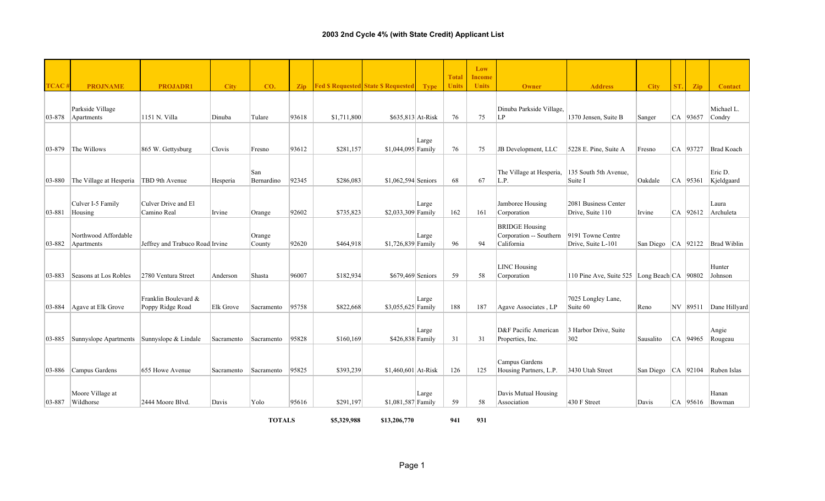|              |                                            |                                          |             |                   |                |             |                                                 |       | <b>Total</b> | Low<br><b>Income</b> |                                                                |                                             |                        |     |              |                       |
|--------------|--------------------------------------------|------------------------------------------|-------------|-------------------|----------------|-------------|-------------------------------------------------|-------|--------------|----------------------|----------------------------------------------------------------|---------------------------------------------|------------------------|-----|--------------|-----------------------|
| TCAC#        | <b>PROJNAME</b>                            | <b>PROJADR1</b>                          | <b>City</b> | CO.               | $\mathbf{Zip}$ |             | <b>Fed \$ Requested State \$ Requested Type</b> |       | <b>Units</b> | <b>Units</b>         | Owner                                                          | <b>Address</b>                              | <b>City</b>            | ST. | Zip          | <b>Contact</b>        |
| 03-878       | Parkside Village<br>Apartments             | 1151 N. Villa                            | Dinuba      | Tulare            | 93618          | \$1,711,800 | \$635,813 At-Risk                               |       | 76           | 75                   | Dinuba Parkside Village,<br>ILP                                | 1370 Jensen, Suite B                        | Sanger                 |     | CA 93657     | Michael L.<br>Condry  |
| $ 03 - 879 $ | The Willows                                | 865 W. Gettysburg                        | Clovis      | Fresno            | 93612          | \$281,157   | $$1,044,095$ Family                             | Large | 76           | 75                   | JB Development, LLC                                            | 5228 E. Pine, Suite A                       | Fresno                 |     | CA 93727     | <b>Brad Koach</b>     |
| 03-880       | The Village at Hesperia                    | TBD 9th Avenue                           | Hesperia    | San<br>Bernardino | 92345          | \$286,083   | $$1,062,594$ Seniors                            |       | 68           | 67                   | The Village at Hesperia,<br>L.P.                               | 135 South 5th Avenue,<br>Suite I            | Oakdale                |     | $ CA $ 95361 | Eric D.<br>Kjeldgaard |
| 03-881       | Culver I-5 Family<br>Housing               | Culver Drive and El<br>Camino Real       | Irvine      | Orange            | 92602          | \$735,823   | \$2,033,309 Family                              | Large | 162          | 161                  | Jamboree Housing<br>Corporation                                | 2081 Business Center<br>Drive, Suite 110    | Irvine                 |     | $CA$ 92612   | Laura<br>Archuleta    |
| $ 03 - 882 $ | Northwood Affordable<br>Apartments         | Jeffrey and Trabuco Road Irvine          |             | Orange<br>County  | 92620          | \$464,918   | \$1,726,839 Family                              | Large | 96           | 94                   | <b>BRIDGE Housing</b><br>Corporation -- Southern<br>California | 9191 Towne Centre<br>Drive, Suite L-101     | San Diego $ CA 92122$  |     |              | <b>Brad Wiblin</b>    |
| 03-883       | Seasons at Los Robles                      | 2780 Ventura Street                      | Anderson    | Shasta            | 96007          | \$182,934   | \$679,469 Seniors                               |       | 59           | 58                   | <b>LINC Housing</b><br>Corporation                             | 110 Pine Ave, Suite 525 Long Beach CA 90802 |                        |     |              | Hunter<br>Johnson     |
| 03-884       | Agave at Elk Grove                         | Franklin Boulevard &<br>Poppy Ridge Road | Elk Grove   | Sacramento        | 95758          | \$822,668   | \$3,055,625 Family                              | Large | 188          | 187                  | Agave Associates, LP                                           | 7025 Longley Lane,<br>Suite 60              | Reno                   |     | NV 89511     | Dane Hillyard         |
| $ 03 - 885 $ | Sunnyslope Apartments Sunnyslope & Lindale |                                          | Sacramento  | Sacramento        | 95828          | \$160,169   | $$426,838$ Family                               | Large | 31           | 31                   | D&F Pacific American<br>Properties, Inc.                       | 3 Harbor Drive, Suite<br>302                | Sausalito              |     | $CA$ 94965   | Angie<br>Rougeau      |
| 03-886       | Campus Gardens                             | 655 Howe Avenue                          | Sacramento  | Sacramento        | 95825          | \$393,239   | $$1,460,601$ At-Risk                            |       | 126          | 125                  | Campus Gardens<br>Housing Partners, L.P.                       | 3430 Utah Street                            | San Diego   CA   92104 |     |              | Ruben Islas           |
| 03-887       | Moore Village at<br>Wildhorse              | 2444 Moore Blvd                          | Davis       | Yolo              | 95616          | \$291,197   | \$1,081,587 Family                              | Large | 59           | 58                   | Davis Mutual Housing<br>Association                            | $430$ F Street                              | Davis                  |     | CA   95616   | Hanan<br>Bowman       |

**TOTALS**

**\$5,329,988 \$13,206,770 941 931**